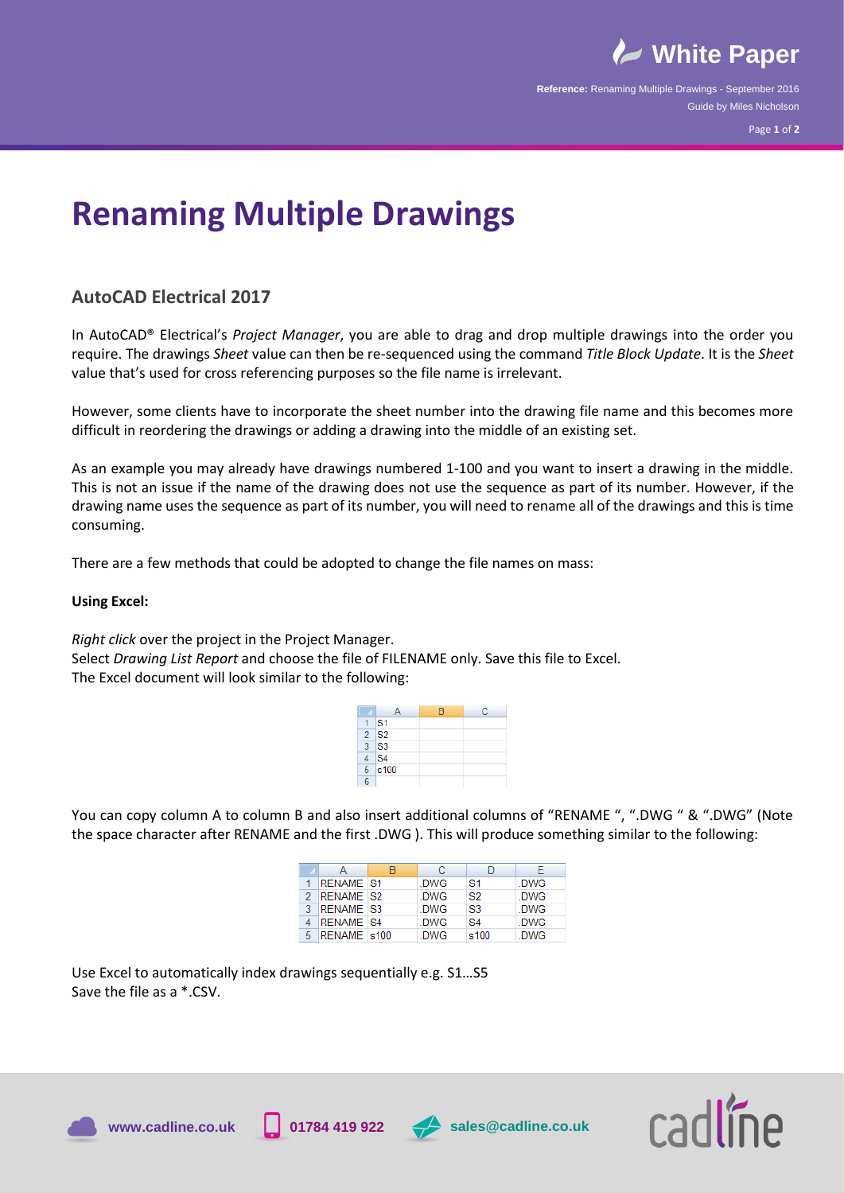

**Reference:** Renaming Multiple Drawings - September 2016 Guide by Miles Nicholson

# **Renaming Multiple Drawings**

## **AutoCAD Electrical 2017**

In AutoCAD® Electrical's *Project Manager*, you are able to drag and drop multiple drawings into the order you require. The drawings *Sheet* value can then be re-sequenced using the command *Title Block Update*. It is the *Sheet*  value that's used for cross referencing purposes so the file name is irrelevant.

However, some clients have to incorporate the sheet number into the drawing file name and this becomes more difficult in reordering the drawings or adding a drawing into the middle of an existing set.

As an example you may already have drawings numbered 1‐100 and you want to insert a drawing in the middle. This is not an issue if the name of the drawing does not use the sequence as part of its number. However, if the drawing name uses the sequence as part of its number, you will need to rename all of the drawings and this is time consuming.

There are a few methods that could be adopted to change the file names on mass:

### **Using Excel:**

*Right click* over the project in the Project Manager.

Select *Drawing List Report* and choose the file of FILENAME only. Save this file to Excel. The Excel document will look similar to the following:

|   |                    | R | c |
|---|--------------------|---|---|
|   | $\mathsf{S}1$      |   |   |
|   | $2$ S <sub>2</sub> |   |   |
|   | $3$ S <sub>3</sub> |   |   |
|   | S <sub>4</sub>     |   |   |
|   | $5$ s100           |   |   |
| Ŕ |                    |   |   |

You can copy column A to column B and also insert additional columns of "RENAME ", ".DWG " & ".DWG" (Note the space character after RENAME and the first .DWG ). This will produce something similar to the following:

|   |                  |            |      | F.   |
|---|------------------|------------|------|------|
|   | <b>RENAME S1</b> | .DWG       | S1   | .DWG |
|   | <b>RENAME S2</b> | DWG.       | S2   | DWG  |
|   | <b>RENAME S3</b> | .DWG       | S3   | .DWG |
|   | <b>RENAME S4</b> | .DWG       | S4   | .DWG |
| 5 | RENAME s100      | <b>DWG</b> | s100 | .DWG |

Use Excel to automatically index drawings sequentially e.g. S1…S5 Save the file as a \*.CSV.